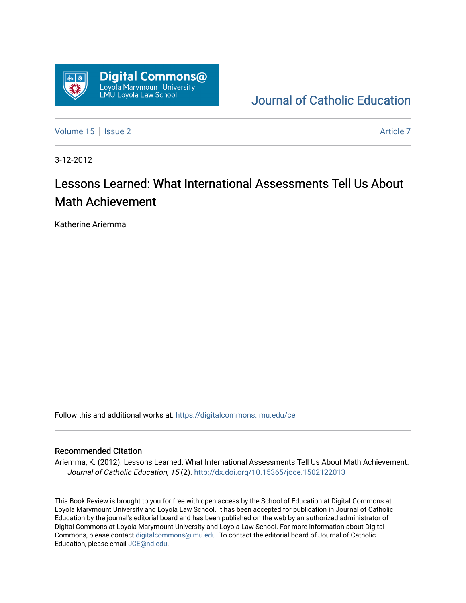

[Journal of Catholic Education](https://digitalcommons.lmu.edu/ce) 

[Volume 15](https://digitalcommons.lmu.edu/ce/vol15) | [Issue 2](https://digitalcommons.lmu.edu/ce/vol15/iss2) Article 7

3-12-2012

## Lessons Learned: What International Assessments Tell Us About Math Achievement

Katherine Ariemma

Follow this and additional works at: [https://digitalcommons.lmu.edu/ce](https://digitalcommons.lmu.edu/ce?utm_source=digitalcommons.lmu.edu%2Fce%2Fvol15%2Fiss2%2F7&utm_medium=PDF&utm_campaign=PDFCoverPages)

## Recommended Citation

Ariemma, K. (2012). Lessons Learned: What International Assessments Tell Us About Math Achievement. Journal of Catholic Education, 15 (2).<http://dx.doi.org/10.15365/joce.1502122013>

This Book Review is brought to you for free with open access by the School of Education at Digital Commons at Loyola Marymount University and Loyola Law School. It has been accepted for publication in Journal of Catholic Education by the journal's editorial board and has been published on the web by an authorized administrator of Digital Commons at Loyola Marymount University and Loyola Law School. For more information about Digital Commons, please contact [digitalcommons@lmu.edu.](mailto:digitalcommons@lmu.edu) To contact the editorial board of Journal of Catholic Education, please email [JCE@nd.edu.](mailto:JCE@nd.edu)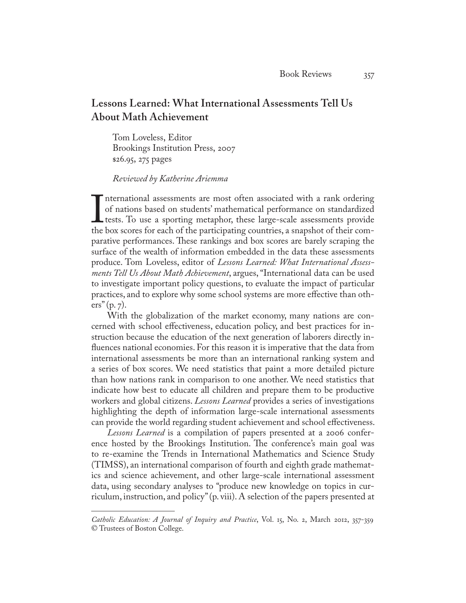## **Lessons Learned: What International Assessments Tell Us About Math Achievement**

Tom Loveless, Editor Brookings Institution Press, 2007 \$26.95, 275 pages

## *Reviewed by Katherine Ariemma*

International assessments are most often associated with a rank ofdering<br>of nations based on students' mathematical performance on standardized<br>tests. To use a sporting metaphor, these large-scale assessments provide<br>the b nternational assessments are most often associated with a rank ordering of nations based on students' mathematical performance on standardized tests. To use a sporting metaphor, these large-scale assessments provide parative performances. These rankings and box scores are barely scraping the surface of the wealth of information embedded in the data these assessments produce. Tom Loveless, editor of *Lessons Learned: What International Assessments Tell Us About Math Achievement*, argues, "International data can be used to investigate important policy questions, to evaluate the impact of particular practices, and to explore why some school systems are more effective than others" (p. 7).

With the globalization of the market economy, many nations are concerned with school effectiveness, education policy, and best practices for instruction because the education of the next generation of laborers directly influences national economies. For this reason it is imperative that the data from international assessments be more than an international ranking system and a series of box scores. We need statistics that paint a more detailed picture than how nations rank in comparison to one another. We need statistics that indicate how best to educate all children and prepare them to be productive workers and global citizens. *Lessons Learned* provides a series of investigations highlighting the depth of information large-scale international assessments can provide the world regarding student achievement and school effectiveness.

*Lessons Learned* is a compilation of papers presented at a 2006 conference hosted by the Brookings Institution. The conference's main goal was to re-examine the Trends in International Mathematics and Science Study (TIMSS), an international comparison of fourth and eighth grade mathematics and science achievement, and other large-scale international assessment data, using secondary analyses to "produce new knowledge on topics in curriculum, instruction, and policy" (p. viii). A selection of the papers presented at

*Catholic Education: A Journal of Inquiry and Practice*, Vol. 15, No. 2, March 2012, 357-359 © Trustees of Boston College.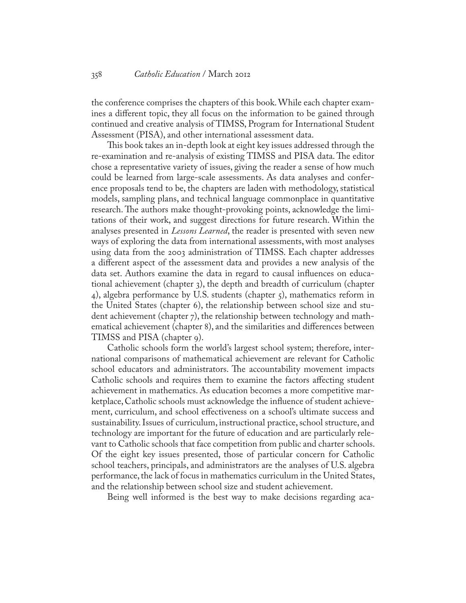the conference comprises the chapters of this book. While each chapter examines a different topic, they all focus on the information to be gained through continued and creative analysis of TIMSS, Program for International Student Assessment (PISA), and other international assessment data.

This book takes an in-depth look at eight key issues addressed through the re-examination and re-analysis of existing TIMSS and PISA data. The editor chose a representative variety of issues, giving the reader a sense of how much could be learned from large-scale assessments. As data analyses and conference proposals tend to be, the chapters are laden with methodology, statistical models, sampling plans, and technical language commonplace in quantitative research. The authors make thought-provoking points, acknowledge the limitations of their work, and suggest directions for future research. Within the analyses presented in *Lessons Learned*, the reader is presented with seven new ways of exploring the data from international assessments, with most analyses using data from the 2003 administration of TIMSS. Each chapter addresses a different aspect of the assessment data and provides a new analysis of the data set. Authors examine the data in regard to causal influences on educational achievement (chapter 3), the depth and breadth of curriculum (chapter 4), algebra performance by U.S. students (chapter 5), mathematics reform in the United States (chapter 6), the relationship between school size and student achievement (chapter 7), the relationship between technology and mathematical achievement (chapter 8), and the similarities and differences between TIMSS and PISA (chapter 9).

Catholic schools form the world's largest school system; therefore, international comparisons of mathematical achievement are relevant for Catholic school educators and administrators. The accountability movement impacts Catholic schools and requires them to examine the factors affecting student achievement in mathematics. As education becomes a more competitive marketplace, Catholic schools must acknowledge the influence of student achievement, curriculum, and school effectiveness on a school's ultimate success and sustainability. Issues of curriculum, instructional practice, school structure, and technology are important for the future of education and are particularly relevant to Catholic schools that face competition from public and charter schools. Of the eight key issues presented, those of particular concern for Catholic school teachers, principals, and administrators are the analyses of U.S. algebra performance, the lack of focus in mathematics curriculum in the United States, and the relationship between school size and student achievement.

Being well informed is the best way to make decisions regarding aca-